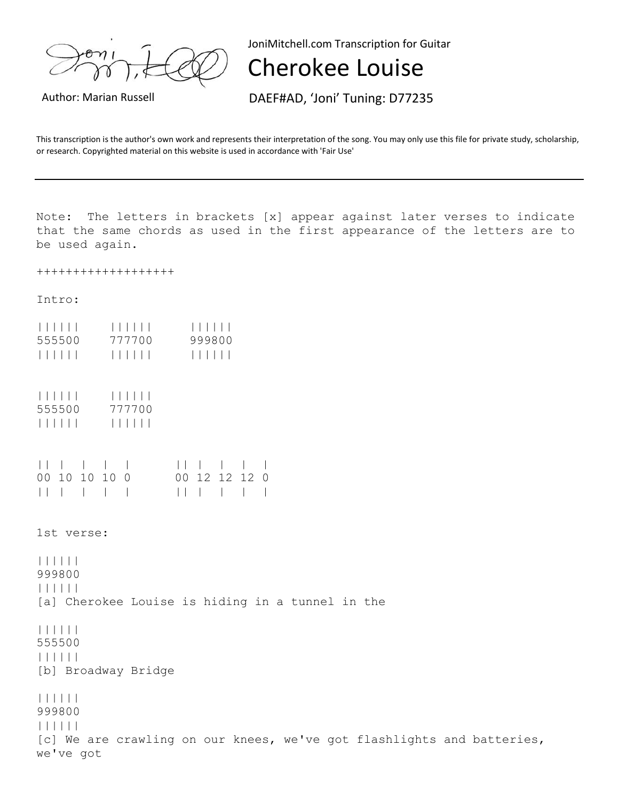JoniMitchell.com Transcription for Guitar

Author: Marian Russell **DAEF#AD, 'Joni' Tuning: D77235** 

Cherokee Louise

This transcription is the author's own work and represents their interpretation of the song. You may only use this file for private study, scholarship, or research. Copyrighted material on this website is used in accordance with 'Fair Use'

Note: The letters in brackets [x] appear against later verses to indicate that the same chords as used in the first appearance of the letters are to be used again.

+++++++++++++++++++

Intro:

| 111111  |        | 111111 |
|---------|--------|--------|
| 555500  | 777700 | 999800 |
| ------- | 111111 | 111111 |

|||||| |||||| 555500 777700 |||||| ||||||

|  | 00 10 10 10 0 |  | 00 12 12 12 0 |  |  |
|--|---------------|--|---------------|--|--|
|  |               |  |               |  |  |

1st verse:

|||||| 999800 |||||| [a] Cherokee Louise is hiding in a tunnel in the |||||| 555500 |||||| [b] Broadway Bridge |||||| 999800 |||||| [c] We are crawling on our knees, we've got flashlights and batteries, we've got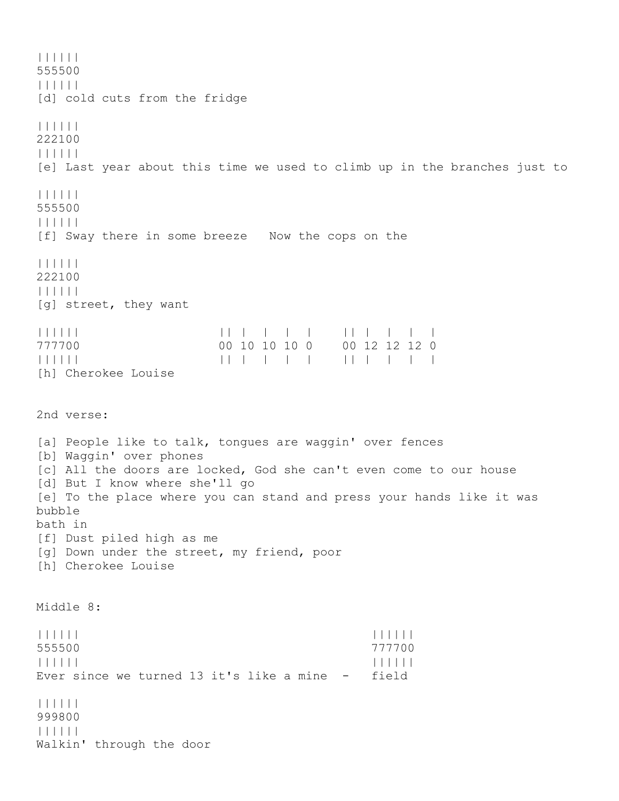|||||| 555500 |||||| [d] cold cuts from the fridge |||||| 222100 |||||| [e] Last year about this time we used to climb up in the branches just to |||||| 555500 |||||| [f] Sway there in some breeze Now the cops on the |||||| 222100 |||||| [g] street, they want |||||| || | | | | || | | | | 777700 00 10 10 10 0 00 12 12 12 0 |||||| || | | | | || | | | | [h] Cherokee Louise 2nd verse: [a] People like to talk, tongues are waggin' over fences [b] Waggin' over phones [c] All the doors are locked, God she can't even come to our house [d] But I know where she'll go [e] To the place where you can stand and press your hands like it was bubble bath in [f] Dust piled high as me [q] Down under the street, my friend, poor [h] Cherokee Louise Middle 8: |||||| |||||| 555500 777700 |||||| |||||| Ever since we turned 13 it's like a mine - field |||||| 999800 |||||| Walkin' through the door